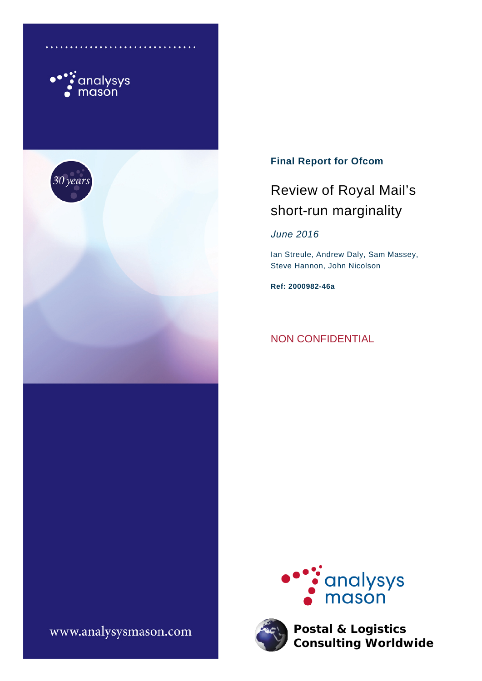



#### **Final Report for Ofcom**

# Review of Royal Mail's short-run marginality

*June 2016* 

Ian Streule, Andrew Daly, Sam Massey, Steve Hannon, John Nicolson

**Ref: 2000982-46a** 

#### NON CONFIDENTIAL



**Postal & Logistics Consulting Worldwide**

www.analysysmason.com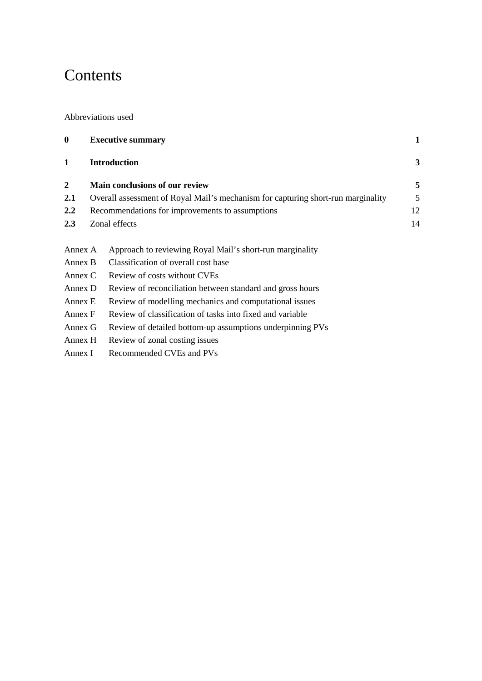# Contents

Abbreviations used

| $\bf{0}$       |                                                                                  | <b>Executive summary</b>                                  |   |  |  |  |  |
|----------------|----------------------------------------------------------------------------------|-----------------------------------------------------------|---|--|--|--|--|
| $\mathbf{1}$   |                                                                                  | <b>Introduction</b>                                       | 3 |  |  |  |  |
| $\overline{2}$ |                                                                                  | <b>Main conclusions of our review</b>                     | 5 |  |  |  |  |
| 2.1            | Overall assessment of Royal Mail's mechanism for capturing short-run marginality |                                                           |   |  |  |  |  |
| $2.2^{\circ}$  | Recommendations for improvements to assumptions                                  |                                                           |   |  |  |  |  |
| 2.3            | Zonal effects                                                                    |                                                           |   |  |  |  |  |
| Annex A        |                                                                                  | Approach to reviewing Royal Mail's short-run marginality  |   |  |  |  |  |
| Annex B        |                                                                                  | Classification of overall cost base                       |   |  |  |  |  |
| Annex $C$      |                                                                                  | Review of costs without CVEs                              |   |  |  |  |  |
| Annex D        |                                                                                  | Review of reconciliation between standard and gross hours |   |  |  |  |  |
| Annex E        |                                                                                  | Review of modelling mechanics and computational issues    |   |  |  |  |  |
| Annex F        |                                                                                  | Review of classification of tasks into fixed and variable |   |  |  |  |  |
| Annex G        |                                                                                  | Review of detailed bottom-up assumptions underpinning PVs |   |  |  |  |  |

- Annex H Review of zonal costing issues
- Annex I Recommended CVEs and PVs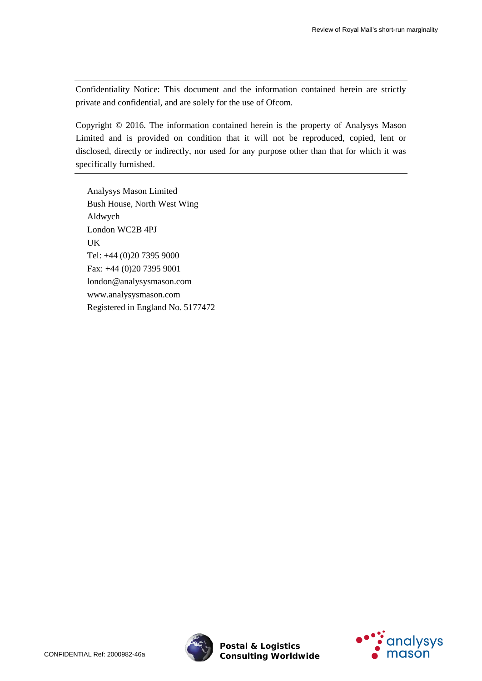Confidentiality Notice: This document and the information contained herein are strictly private and confidential, and are solely for the use of Ofcom.

Copyright © 2016. The information contained herein is the property of Analysys Mason Limited and is provided on condition that it will not be reproduced, copied, lent or disclosed, directly or indirectly, nor used for any purpose other than that for which it was specifically furnished.

Analysys Mason Limited Bush House, North West Wing Aldwych London WC2B 4PJ UK Tel: +44 (0)20 7395 9000 Fax: +44 (0)20 7395 9001 [london@analysysmason.com](mailto:london@analysysmason.com) [www.analysysmason.com](http://www.analysysmason.com/) Registered in England No. 5177472



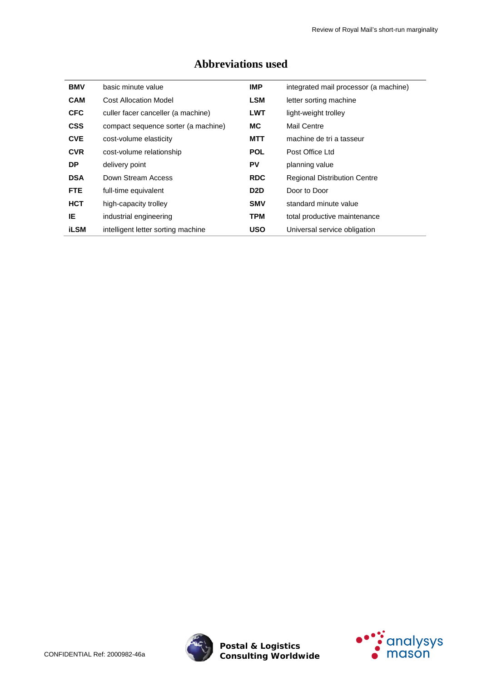| <b>BMV</b>  | basic minute value                  | <b>IMP</b>       | integrated mail processor (a machine) |
|-------------|-------------------------------------|------------------|---------------------------------------|
| <b>CAM</b>  | <b>Cost Allocation Model</b>        | <b>LSM</b>       | letter sorting machine                |
| <b>CFC</b>  | culler facer canceller (a machine)  | <b>LWT</b>       | light-weight trolley                  |
| <b>CSS</b>  | compact sequence sorter (a machine) | MC.              | Mail Centre                           |
| <b>CVE</b>  | cost-volume elasticity              | <b>MTT</b>       | machine de tri a tasseur              |
| <b>CVR</b>  | cost-volume relationship            | <b>POL</b>       | Post Office Ltd                       |
| DP.         | delivery point                      | PV               | planning value                        |
| <b>DSA</b>  | Down Stream Access                  | <b>RDC</b>       | <b>Regional Distribution Centre</b>   |
| FTE.        | full-time equivalent                | D <sub>2</sub> D | Door to Door                          |
| <b>HCT</b>  | high-capacity trolley               | <b>SMV</b>       | standard minute value                 |
| IE          | industrial engineering              | <b>TPM</b>       | total productive maintenance          |
| <b>iLSM</b> | intelligent letter sorting machine  | <b>USO</b>       | Universal service obligation          |

### **Abbreviations used**



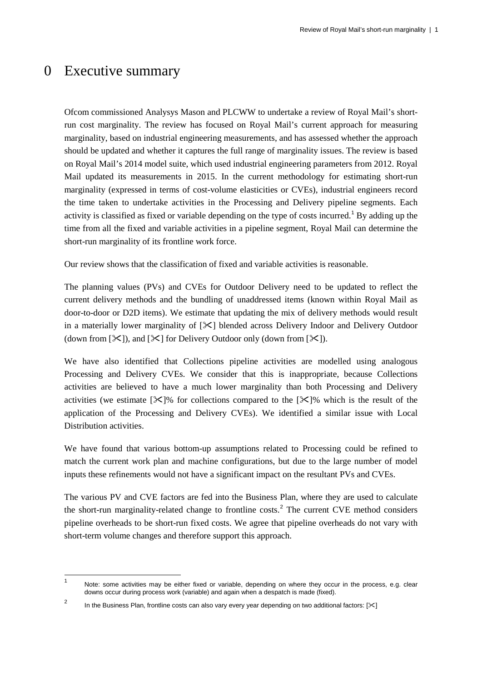### 0 Executive summary

Ofcom commissioned Analysys Mason and PLCWW to undertake a review of Royal Mail's shortrun cost marginality. The review has focused on Royal Mail's current approach for measuring marginality, based on industrial engineering measurements, and has assessed whether the approach should be updated and whether it captures the full range of marginality issues. The review is based on Royal Mail's 2014 model suite, which used industrial engineering parameters from 2012. Royal Mail updated its measurements in 2015. In the current methodology for estimating short-run marginality (expressed in terms of cost-volume elasticities or CVEs), industrial engineers record the time taken to undertake activities in the Processing and Delivery pipeline segments. Each activity is classified as fixed or variable depending on the type of costs incurred.<sup>[1](#page-4-0)</sup> By adding up the time from all the fixed and variable activities in a pipeline segment, Royal Mail can determine the short-run marginality of its frontline work force.

Our review shows that the classification of fixed and variable activities is reasonable.

The planning values (PVs) and CVEs for Outdoor Delivery need to be updated to reflect the current delivery methods and the bundling of unaddressed items (known within Royal Mail as door-to-door or D2D items). We estimate that updating the mix of delivery methods would result in a materially lower marginality of  $[\mathcal{K}]$  blended across Delivery Indoor and Delivery Outdoor (down from  $[\mathcal{K}]$ ), and  $[\mathcal{K}]$  for Delivery Outdoor only (down from  $[\mathcal{K}]$ ).

We have also identified that Collections pipeline activities are modelled using analogous Processing and Delivery CVEs. We consider that this is inappropriate, because Collections activities are believed to have a much lower marginality than both Processing and Delivery activities (we estimate  $[\&]$ % for collections compared to the  $[\&]$ % which is the result of the application of the Processing and Delivery CVEs). We identified a similar issue with Local Distribution activities.

We have found that various bottom-up assumptions related to Processing could be refined to match the current work plan and machine configurations, but due to the large number of model inputs these refinements would not have a significant impact on the resultant PVs and CVEs.

The various PV and CVE factors are fed into the Business Plan, where they are used to calculate the short-run marginality-related change to frontline costs.<sup>[2](#page-4-1)</sup> The current CVE method considers pipeline overheads to be short-run fixed costs. We agree that pipeline overheads do not vary with short-term volume changes and therefore support this approach.

<span id="page-4-0"></span><sup>&</sup>lt;sup>1</sup> Note: some activities may be either fixed or variable, depending on where they occur in the process, e.g. clear downs occur during process work (variable) and again when a despatch is made (fixed).

<span id="page-4-1"></span><sup>&</sup>lt;sup>2</sup> In the Business Plan, frontline costs can also vary every year depending on two additional factors: [ $\ll$ ]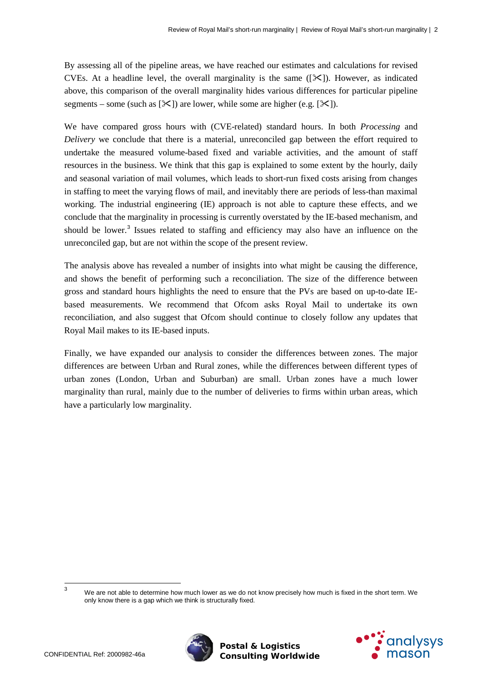By assessing all of the pipeline areas, we have reached our estimates and calculations for revised CVEs. At a headline level, the overall marginality is the same  $(|\mathcal{X}|)$ . However, as indicated above, this comparison of the overall marginality hides various differences for particular pipeline segments – some (such as  $[\mathcal{K}]$ ) are lower, while some are higher (e.g.  $[\mathcal{K}]$ ).

We have compared gross hours with (CVE-related) standard hours. In both *Processing* and *Delivery* we conclude that there is a material, unreconciled gap between the effort required to undertake the measured volume-based fixed and variable activities, and the amount of staff resources in the business. We think that this gap is explained to some extent by the hourly, daily and seasonal variation of mail volumes, which leads to short-run fixed costs arising from changes in staffing to meet the varying flows of mail, and inevitably there are periods of less-than maximal working. The industrial engineering (IE) approach is not able to capture these effects, and we conclude that the marginality in processing is currently overstated by the IE-based mechanism, and should be lower.<sup>[3](#page-5-0)</sup> Issues related to staffing and efficiency may also have an influence on the unreconciled gap, but are not within the scope of the present review.

The analysis above has revealed a number of insights into what might be causing the difference, and shows the benefit of performing such a reconciliation. The size of the difference between gross and standard hours highlights the need to ensure that the PVs are based on up-to-date IEbased measurements. We recommend that Ofcom asks Royal Mail to undertake its own reconciliation, and also suggest that Ofcom should continue to closely follow any updates that Royal Mail makes to its IE-based inputs.

Finally, we have expanded our analysis to consider the differences between zones. The major differences are between Urban and Rural zones, while the differences between different types of urban zones (London, Urban and Suburban) are small. Urban zones have a much lower marginality than rural, mainly due to the number of deliveries to firms within urban areas, which have a particularly low marginality.

<span id="page-5-0"></span><sup>&</sup>lt;sup>3</sup> We are not able to determine how much lower as we do not know precisely how much is fixed in the short term. We only know there is a gap which we think is structurally fixed.



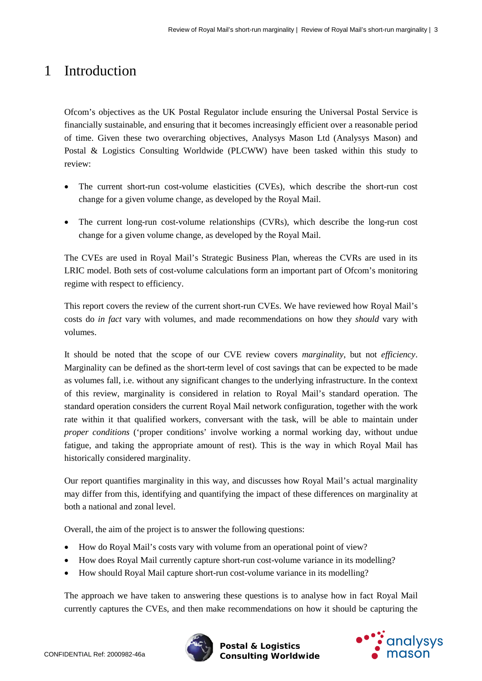## 1 Introduction

Ofcom's objectives as the UK Postal Regulator include ensuring the Universal Postal Service is financially sustainable, and ensuring that it becomes increasingly efficient over a reasonable period of time. Given these two overarching objectives, Analysys Mason Ltd (Analysys Mason) and Postal & Logistics Consulting Worldwide (PLCWW) have been tasked within this study to review:

- The current short-run cost-volume elasticities (CVEs), which describe the short-run cost change for a given volume change, as developed by the Royal Mail.
- The current long-run cost-volume relationships (CVRs), which describe the long-run cost change for a given volume change, as developed by the Royal Mail.

The CVEs are used in Royal Mail's Strategic Business Plan, whereas the CVRs are used in its LRIC model. Both sets of cost-volume calculations form an important part of Ofcom's monitoring regime with respect to efficiency.

This report covers the review of the current short-run CVEs. We have reviewed how Royal Mail's costs do *in fact* vary with volumes, and made recommendations on how they *should* vary with volumes.

It should be noted that the scope of our CVE review covers *marginality*, but not *efficiency*. Marginality can be defined as the short-term level of cost savings that can be expected to be made as volumes fall, i.e. without any significant changes to the underlying infrastructure. In the context of this review, marginality is considered in relation to Royal Mail's standard operation. The standard operation considers the current Royal Mail network configuration, together with the work rate within it that qualified workers, conversant with the task, will be able to maintain under *proper conditions* ('proper conditions' involve working a normal working day, without undue fatigue, and taking the appropriate amount of rest). This is the way in which Royal Mail has historically considered marginality.

Our report quantifies marginality in this way, and discusses how Royal Mail's actual marginality may differ from this, identifying and quantifying the impact of these differences on marginality at both a national and zonal level.

Overall, the aim of the project is to answer the following questions:

- How do Royal Mail's costs vary with volume from an operational point of view?
- How does Royal Mail currently capture short-run cost-volume variance in its modelling?
- How should Royal Mail capture short-run cost-volume variance in its modelling?

The approach we have taken to answering these questions is to analyse how in fact Royal Mail currently captures the CVEs, and then make recommendations on how it should be capturing the



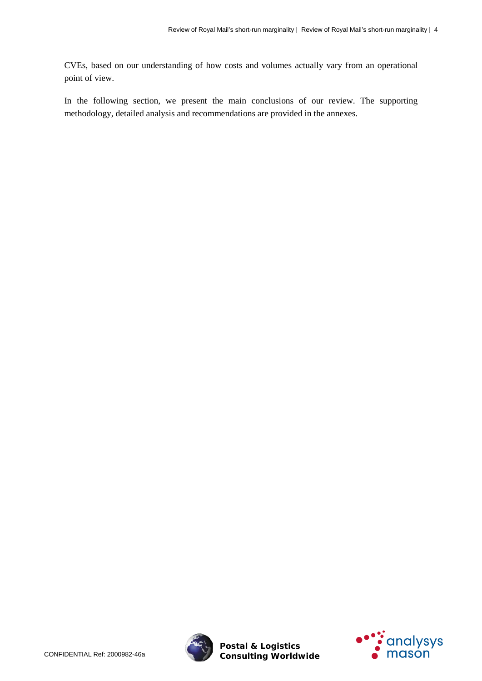CVEs, based on our understanding of how costs and volumes actually vary from an operational point of view.

In the following section, we present the main conclusions of our review. The supporting methodology, detailed analysis and recommendations are provided in the annexes.



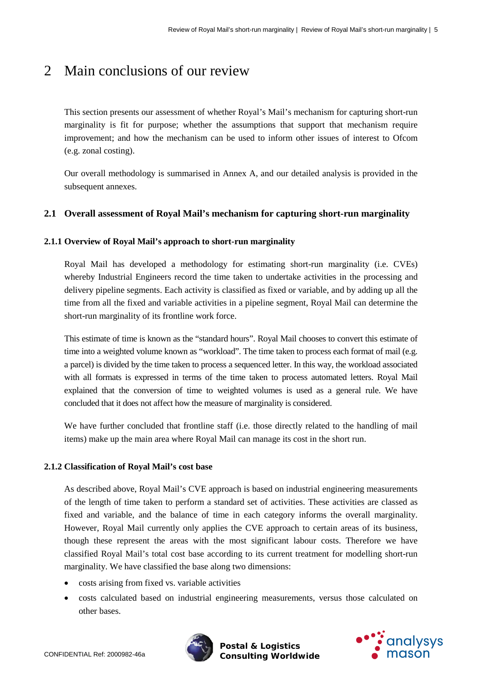## 2 Main conclusions of our review

This section presents our assessment of whether Royal's Mail's mechanism for capturing short-run marginality is fit for purpose; whether the assumptions that support that mechanism require improvement; and how the mechanism can be used to inform other issues of interest to Ofcom (e.g. zonal costing).

Our overall methodology is summarised in [Annex A,](#page-18-0) and our detailed analysis is provided in the subsequent annexes.

#### **2.1 Overall assessment of Royal Mail's mechanism for capturing short-run marginality**

#### **2.1.1 Overview of Royal Mail's approach to short-run marginality**

Royal Mail has developed a methodology for estimating short-run marginality (i.e. CVEs) whereby Industrial Engineers record the time taken to undertake activities in the processing and delivery pipeline segments. Each activity is classified as fixed or variable, and by adding up all the time from all the fixed and variable activities in a pipeline segment, Royal Mail can determine the short-run marginality of its frontline work force.

This estimate of time is known as the "standard hours". Royal Mail chooses to convert this estimate of time into a weighted volume known as "workload". The time taken to process each format of mail (e.g. a parcel) is divided by the time taken to process a sequenced letter. In this way, the workload associated with all formats is expressed in terms of the time taken to process automated letters. Royal Mail explained that the conversion of time to weighted volumes is used as a general rule. We have concluded that it does not affect how the measure of marginality is considered.

We have further concluded that frontline staff (i.e. those directly related to the handling of mail items) make up the main area where Royal Mail can manage its cost in the short run.

#### **2.1.2 Classification of Royal Mail's cost base**

As described above, Royal Mail's CVE approach is based on industrial engineering measurements of the length of time taken to perform a standard set of activities. These activities are classed as fixed and variable, and the balance of time in each category informs the overall marginality. However, Royal Mail currently only applies the CVE approach to certain areas of its business, though these represent the areas with the most significant labour costs. Therefore we have classified Royal Mail's total cost base according to its current treatment for modelling short-run marginality. We have classified the base along two dimensions:

- costs arising from fixed vs. variable activities
- costs calculated based on industrial engineering measurements, versus those calculated on other bases.



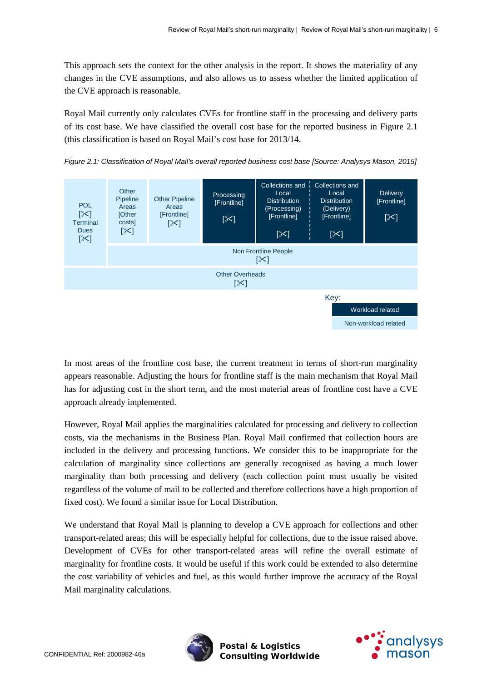This approach sets the context for the other analysis in the report. It shows the materiality of any changes in the CVE assumptions, and also allows us to assess whether the limited application of the CVE approach is reasonable.

Royal Mail currently only calculates CVEs for frontline staff in the processing and delivery parts of its cost base. We have classified the overall cost base for the reported business in [Figure 2.1](#page-9-0) (this classification is based on Royal Mail's cost base for 2013/14.

<span id="page-9-0"></span>*Figure 2.1: Classification of Royal Mail's overall reported business cost base [Source: Analysys Mason, 2015]*



In most areas of the frontline cost base, the current treatment in terms of short-run marginality appears reasonable. Adjusting the hours for frontline staff is the main mechanism that Royal Mail has for adjusting cost in the short term, and the most material areas of frontline cost have a CVE approach already implemented.

However, Royal Mail applies the marginalities calculated for processing and delivery to collection costs, via the mechanisms in the Business Plan. Royal Mail confirmed that collection hours are included in the delivery and processing functions. We consider this to be inappropriate for the calculation of marginality since collections are generally recognised as having a much lower marginality than both processing and delivery (each collection point must usually be visited regardless of the volume of mail to be collected and therefore collections have a high proportion of fixed cost). We found a similar issue for Local Distribution.

We understand that Royal Mail is planning to develop a CVE approach for collections and other transport-related areas; this will be especially helpful for collections, due to the issue raised above. Development of CVEs for other transport-related areas will refine the overall estimate of marginality for frontline costs. It would be useful if this work could be extended to also determine the cost variability of vehicles and fuel, as this would further improve the accuracy of the Royal Mail marginality calculations.



**Postal & Logistics Consulting Worldwide**

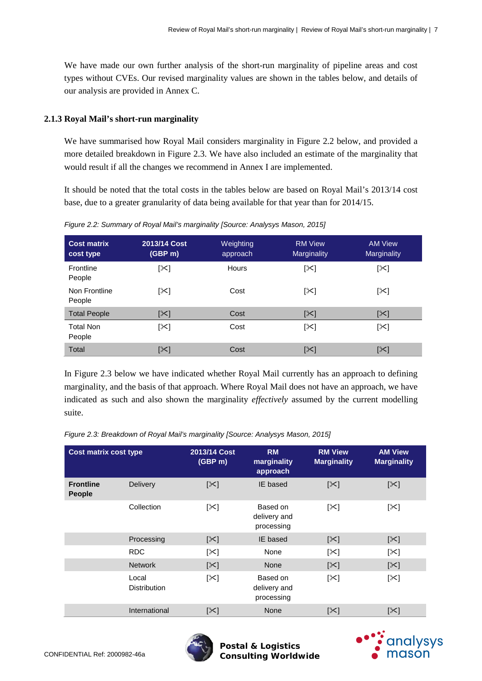We have made our own further analysis of the short-run marginality of pipeline areas and cost types without CVEs. Our revised marginality values are shown in the tables below, and details of our analysis are provided in [Annex C.](#page-22-0)

#### **2.1.3 Royal Mail's short-run marginality**

We have summarised how Royal Mail considers marginality in Figure 2.2 below, and provided a more detailed breakdown in [Figure 2.3.](#page-10-0) We have also included an estimate of the marginality that would result if all the changes we recommend in [Annex I](#page-28-0) are implemented.

It should be noted that the total costs in the tables below are based on Royal Mail's 2013/14 cost base, due to a greater granularity of data being available for that year than for 2014/15.

*Figure 2.2: Summary of Royal Mail's marginality [Source: Analysys Mason, 2015]* 

| <b>Cost matrix</b><br>cost type | 2013/14 Cost<br>(GBP m) | Weighting<br>approach | <b>RM View</b><br><b>Marginality</b> | <b>AM View</b><br><b>Marginality</b> |
|---------------------------------|-------------------------|-----------------------|--------------------------------------|--------------------------------------|
| <b>Frontline</b><br>People      | [≻]                     | <b>Hours</b>          | [≻]                                  | $[\times]$                           |
| Non Frontline<br>People         | [≻]                     | Cost                  | [≻]                                  | $[\times]$                           |
| <b>Total People</b>             | $[\times]$              | Cost                  | $[\times]$                           | $[\times]$                           |
| <b>Total Non</b><br>People      | [≻]                     | Cost                  | [≻]                                  | [≻]                                  |
| Total                           | [≻]                     | Cost                  | [≻]                                  | [≻]                                  |

In [Figure 2.3](#page-10-0) below we have indicated whether Royal Mail currently has an approach to defining marginality, and the basis of that approach. Where Royal Mail does not have an approach, we have indicated as such and also shown the marginality *effectively* assumed by the current modelling suite.

<span id="page-10-0"></span>*Figure 2.3: Breakdown of Royal Mail's marginality [Source: Analysys Mason, 2015]*

| Cost matrix cost type             |                              | 2013/14 Cost<br>$(GBP \, m)$ | <b>RM</b><br>marginality<br>approach   | <b>RM View</b><br><b>Marginality</b> | <b>AM View</b><br><b>Marginality</b> |
|-----------------------------------|------------------------------|------------------------------|----------------------------------------|--------------------------------------|--------------------------------------|
| <b>Frontline</b><br><b>People</b> | <b>Delivery</b>              | $[\times]$                   | <b>IE</b> based                        | $[\times]$                           | $[\times]$                           |
|                                   | Collection                   | $[\times]$                   | Based on<br>delivery and<br>processing | $[\times]$                           | $[\times]$                           |
|                                   | Processing                   | $[\times]$                   | <b>IE</b> based                        | $[\times]$                           | $[\times]$                           |
|                                   | RDC.                         | [≻]                          | None                                   | [≻]                                  | $[\times]$                           |
|                                   | <b>Network</b>               | $[\times]$                   | <b>None</b>                            | $[\times]$                           | $[\times]$                           |
|                                   | Local<br><b>Distribution</b> | $[\times]$                   | Based on<br>delivery and<br>processing | $[\times]$                           | $[\times]$                           |
|                                   | International                | $[\times]$                   | None                                   | $[\times]$                           | $[\times]$                           |



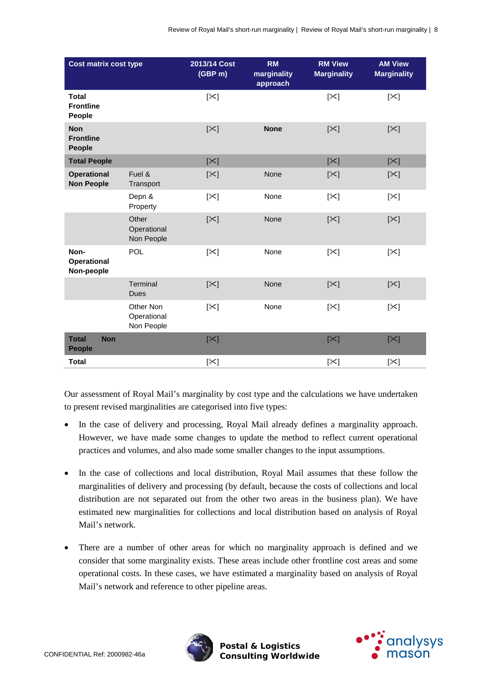| <b>Cost matrix cost type</b>                    |                                        | 2013/14 Cost<br>$(GBP \, m)$ | <b>RM</b><br>marginality<br>approach | <b>RM View</b><br><b>Marginality</b> | <b>AM View</b><br><b>Marginality</b> |
|-------------------------------------------------|----------------------------------------|------------------------------|--------------------------------------|--------------------------------------|--------------------------------------|
| <b>Total</b><br><b>Frontline</b><br>People      |                                        | $[\times]$                   |                                      | $[\times]$                           | $[\times]$                           |
| <b>Non</b><br><b>Frontline</b><br><b>People</b> |                                        | $[\times]$                   | <b>None</b>                          | $[\times]$                           | $[\times]$                           |
| <b>Total People</b>                             |                                        | $[\times]$                   |                                      | $[\times]$                           | $[\times]$                           |
| <b>Operational</b><br><b>Non People</b>         | Fuel &<br>Transport                    | $[\times]$                   | None                                 | $[\times]$                           | $[\times]$                           |
|                                                 | Depn &<br>Property                     | $[\times]$                   | None                                 | $[\times]$                           | $[\times]$                           |
|                                                 | Other<br>Operational<br>Non People     | $[\times]$                   | None                                 | $[\times]$                           | $[\times]$                           |
| Non-<br><b>Operational</b><br>Non-people        | POL                                    | $[\times]$                   | None                                 | $[\times]$                           | $[\times]$                           |
|                                                 | Terminal<br><b>Dues</b>                | $[\times]$                   | None                                 | $[\times]$                           | $[\times]$                           |
|                                                 | Other Non<br>Operational<br>Non People | $[\times]$                   | None                                 | $[\times]$                           | $[\times]$                           |
| <b>Total</b><br><b>Non</b><br><b>People</b>     |                                        | $[\times]$                   |                                      | $[\times]$                           | $[\times]$                           |
| <b>Total</b>                                    |                                        | $[\times]$                   |                                      | $[\times]$                           | $[\times]$                           |

Our assessment of Royal Mail's marginality by cost type and the calculations we have undertaken to present revised marginalities are categorised into five types:

- In the case of delivery and processing, Royal Mail already defines a marginality approach. However, we have made some changes to update the method to reflect current operational practices and volumes, and also made some smaller changes to the input assumptions.
- In the case of collections and local distribution, Royal Mail assumes that these follow the marginalities of delivery and processing (by default, because the costs of collections and local distribution are not separated out from the other two areas in the business plan). We have estimated new marginalities for collections and local distribution based on analysis of Royal Mail's network.
- There are a number of other areas for which no marginality approach is defined and we consider that some marginality exists. These areas include other frontline cost areas and some operational costs. In these cases, we have estimated a marginality based on analysis of Royal Mail's network and reference to other pipeline areas.



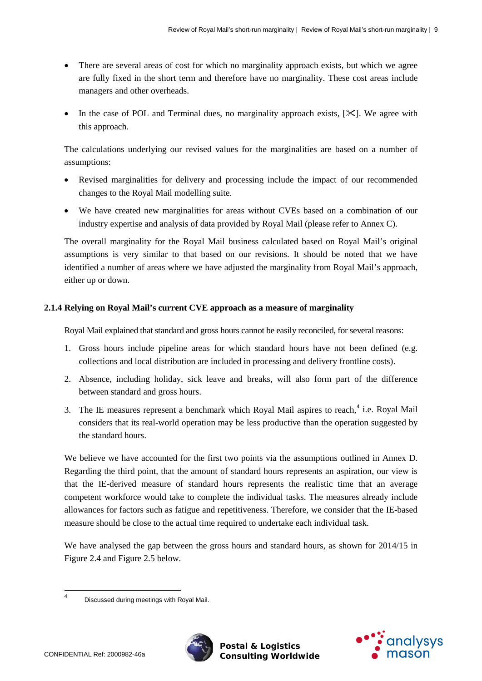- There are several areas of cost for which no marginality approach exists, but which we agree are fully fixed in the short term and therefore have no marginality. These cost areas include managers and other overheads.
- In the case of POL and Terminal dues, no marginality approach exists,  $[\&]$ . We agree with this approach.

The calculations underlying our revised values for the marginalities are based on a number of assumptions:

- Revised marginalities for delivery and processing include the impact of our recommended changes to the Royal Mail modelling suite.
- We have created new marginalities for areas without CVEs based on a combination of our industry expertise and analysis of data provided by Royal Mail (please refer to [Annex C\)](#page-22-0).

The overall marginality for the Royal Mail business calculated based on Royal Mail's original assumptions is very similar to that based on our revisions. It should be noted that we have identified a number of areas where we have adjusted the marginality from Royal Mail's approach, either up or down.

#### **2.1.4 Relying on Royal Mail's current CVE approach as a measure of marginality**

Royal Mail explained that standard and gross hours cannot be easily reconciled, for several reasons:

- 1. Gross hours include pipeline areas for which standard hours have not been defined (e.g. collections and local distribution are included in processing and delivery frontline costs).
- 2. Absence, including holiday, sick leave and breaks, will also form part of the difference between standard and gross hours.
- 3. The IE measures represent a benchmark which Royal Mail aspires to reach,<sup>[4](#page-12-0)</sup> i.e. Royal Mail considers that its real-world operation may be less productive than the operation suggested by the standard hours.

We believe we have accounted for the first two points via the assumptions outlined in [Annex D.](#page-23-0) Regarding the third point, that the amount of standard hours represents an aspiration, our view is that the IE-derived measure of standard hours represents the realistic time that an average competent workforce would take to complete the individual tasks. The measures already include allowances for factors such as fatigue and repetitiveness. Therefore, we consider that the IE-based measure should be close to the actual time required to undertake each individual task.

We have analysed the gap between the gross hours and standard hours, as shown for 2014/15 in [Figure 2.4](#page-13-0) and [Figure 2.5](#page-13-1) below.

<span id="page-12-0"></span><sup>4</sup> Discussed during meetings with Royal Mail.



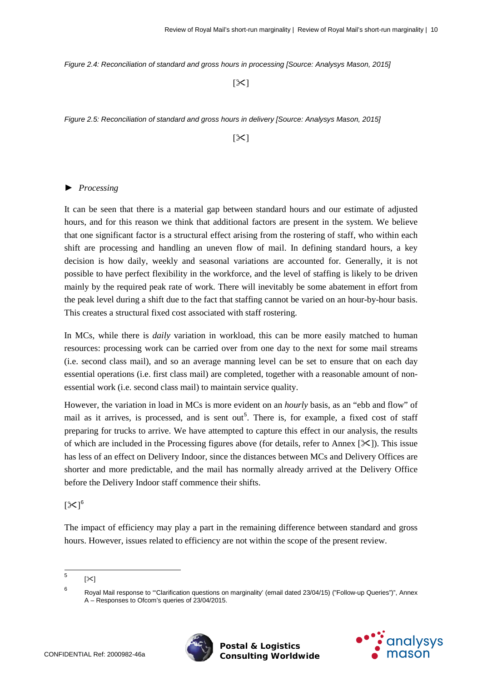<span id="page-13-0"></span>*Figure 2.4: Reconciliation of standard and gross hours in processing [Source: Analysys Mason, 2015]*

 $[\infty]$ 

<span id="page-13-1"></span>*Figure 2.5: Reconciliation of standard and gross hours in delivery [Source: Analysys Mason, 2015]* 

 $[\mathsf{X}]$ 

#### ► *Processing*

It can be seen that there is a material gap between standard hours and our estimate of adjusted hours, and for this reason we think that additional factors are present in the system. We believe that one significant factor is a structural effect arising from the rostering of staff, who within each shift are processing and handling an uneven flow of mail. In defining standard hours, a key decision is how daily, weekly and seasonal variations are accounted for. Generally, it is not possible to have perfect flexibility in the workforce, and the level of staffing is likely to be driven mainly by the required peak rate of work. There will inevitably be some abatement in effort from the peak level during a shift due to the fact that staffing cannot be varied on an hour-by-hour basis. This creates a structural fixed cost associated with staff rostering.

In MCs, while there is *daily* variation in workload, this can be more easily matched to human resources: processing work can be carried over from one day to the next for some mail streams (i.e. second class mail), and so an average manning level can be set to ensure that on each day essential operations (i.e. first class mail) are completed, together with a reasonable amount of nonessential work (i.e. second class mail) to maintain service quality.

However, the variation in load in MCs is more evident on an *hourly* basis, as an "ebb and flow" of mail as it arrives, is processed, and is sent out<sup>[5](#page-13-2)</sup>. There is, for example, a fixed cost of staff preparing for trucks to arrive. We have attempted to capture this effect in our analysis, the results of which are included in the Processing figures above (for details, refer to Annex  $[\mathcal{K}]$ ). This issue has less of an effect on Delivery Indoor, since the distances between MCs and Delivery Offices are shorter and more predictable, and the mail has normally already arrived at the Delivery Office before the Delivery Indoor staff commence their shifts.

#### $[\mathbb{X}]^6$  $[\mathbb{X}]^6$

The impact of efficiency may play a part in the remaining difference between standard and gross hours. However, issues related to efficiency are not within the scope of the present review.

<span id="page-13-3"></span><sup>6</sup> Royal Mail response to "'Clarification questions on marginality' (email dated 23/04/15) ("Follow-up Queries")", Annex A – Responses to Ofcom's queries of 23/04/2015.





<span id="page-13-2"></span> $5$  [ $\mathcal{X}$ ]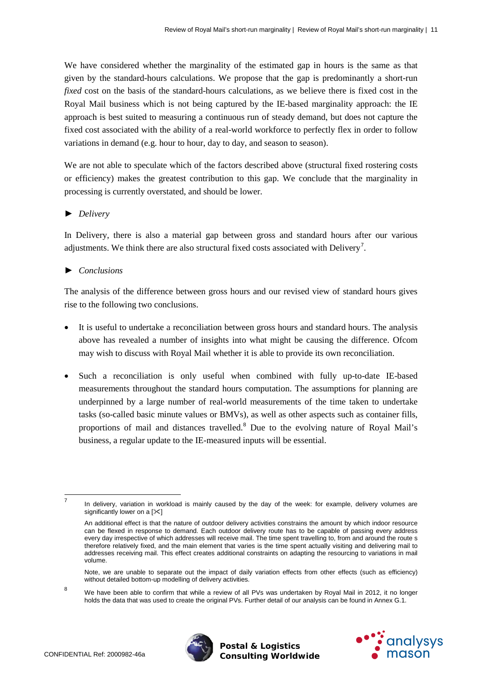We have considered whether the marginality of the estimated gap in hours is the same as that given by the standard-hours calculations. We propose that the gap is predominantly a short-run *fixed* cost on the basis of the standard-hours calculations, as we believe there is fixed cost in the Royal Mail business which is not being captured by the IE-based marginality approach: the IE approach is best suited to measuring a continuous run of steady demand, but does not capture the fixed cost associated with the ability of a real-world workforce to perfectly flex in order to follow variations in demand (e.g. hour to hour, day to day, and season to season).

We are not able to speculate which of the factors described above (structural fixed rostering costs or efficiency) makes the greatest contribution to this gap. We conclude that the marginality in processing is currently overstated, and should be lower.

#### ► *Delivery*

In Delivery, there is also a material gap between gross and standard hours after our various adjustments. We think there are also structural fixed costs associated with Delivery<sup>[7](#page-14-0)</sup>.

#### ► *Conclusions*

The analysis of the difference between gross hours and our revised view of standard hours gives rise to the following two conclusions.

- It is useful to undertake a reconciliation between gross hours and standard hours. The analysis above has revealed a number of insights into what might be causing the difference. Ofcom may wish to discuss with Royal Mail whether it is able to provide its own reconciliation.
- Such a reconciliation is only useful when combined with fully up-to-date IE-based measurements throughout the standard hours computation. The assumptions for planning are underpinned by a large number of real-world measurements of the time taken to undertake tasks (so-called basic minute values or BMVs), as well as other aspects such as container fills, proportions of mail and distances travelled.<sup>[8](#page-14-1)</sup> Due to the evolving nature of Royal Mail's business, a regular update to the IE-measured inputs will be essential.

<span id="page-14-1"></span><sup>&</sup>lt;sup>8</sup> We have been able to confirm that while a review of all PVs was undertaken by Royal Mail in 2012, it no longer holds the data that was used to create the original PVs. Further detail of our analysis can be found in Annex G.1.





<span id="page-14-0"></span> $7$  In delivery, variation in workload is mainly caused by the day of the week: for example, delivery volumes are significantly lower on a  $[\times]$ 

An additional effect is that the nature of outdoor delivery activities constrains the amount by which indoor resource can be flexed in response to demand. Each outdoor delivery route has to be capable of passing every address every day irrespective of which addresses will receive mail. The time spent travelling to, from and around the route s therefore relatively fixed, and the main element that varies is the time spent actually visiting and delivering mail to addresses receiving mail. This effect creates additional constraints on adapting the resourcing to variations in mail volume.

Note, we are unable to separate out the impact of daily variation effects from other effects (such as efficiency) without detailed bottom-up modelling of delivery activities.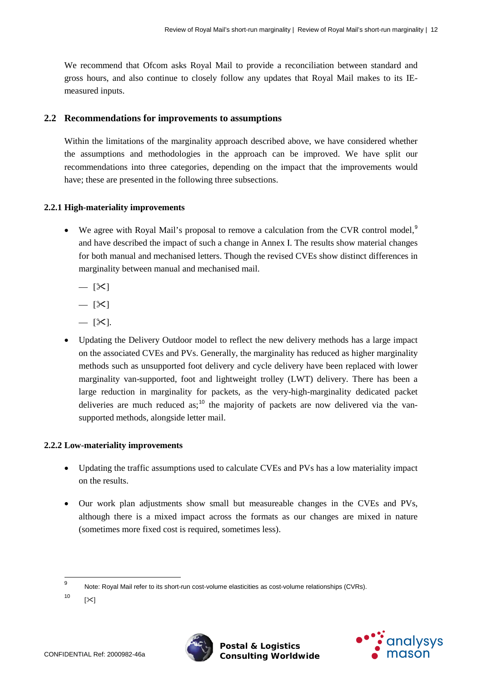We recommend that Ofcom asks Royal Mail to provide a reconciliation between standard and gross hours, and also continue to closely follow any updates that Royal Mail makes to its IEmeasured inputs.

#### **2.2 Recommendations for improvements to assumptions**

Within the limitations of the marginality approach described above, we have considered whether the assumptions and methodologies in the approach can be improved. We have split our recommendations into three categories, depending on the impact that the improvements would have; these are presented in the following three subsections.

#### **2.2.1 High-materiality improvements**

- We agree with Royal Mail's proposal to remove a calculation from the CVR control model,<sup>[9](#page-15-0)</sup> and have described the impact of such a change in [Annex I.](#page-28-0) The results show material changes for both manual and mechanised letters. Though the revised CVEs show distinct differences in marginality between manual and mechanised mail.
	- $-$  [ $\mathsf{\times}$ ]
	- $-$  [ $\times$ ]
	- $-$  [ $\chi$ ].
- Updating the Delivery Outdoor model to reflect the new delivery methods has a large impact on the associated CVEs and PVs. Generally, the marginality has reduced as higher marginality methods such as unsupported foot delivery and cycle delivery have been replaced with lower marginality van-supported, foot and lightweight trolley (LWT) delivery. There has been a large reduction in marginality for packets, as the very-high-marginality dedicated packet deliveries are much reduced as;<sup>[10](#page-15-1)</sup> the majority of packets are now delivered via the vansupported methods, alongside letter mail.

#### **2.2.2 Low-materiality improvements**

- Updating the traffic assumptions used to calculate CVEs and PVs has a low materiality impact on the results.
- Our work plan adjustments show small but measureable changes in the CVEs and PVs, although there is a mixed impact across the formats as our changes are mixed in nature (sometimes more fixed cost is required, sometimes less).





<span id="page-15-0"></span><sup>9</sup> Note: Royal Mail refer to its short-run cost-volume elasticities as cost-volume relationships (CVRs).

<span id="page-15-1"></span> $10$   $[35]$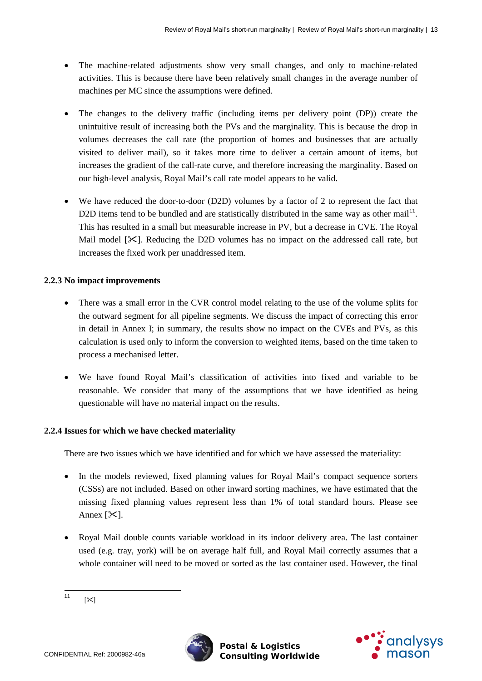- The machine-related adjustments show very small changes, and only to machine-related activities. This is because there have been relatively small changes in the average number of machines per MC since the assumptions were defined.
- The changes to the delivery traffic (including items per delivery point (DP)) create the unintuitive result of increasing both the PVs and the marginality. This is because the drop in volumes decreases the call rate (the proportion of homes and businesses that are actually visited to deliver mail), so it takes more time to deliver a certain amount of items, but increases the gradient of the call-rate curve, and therefore increasing the marginality. Based on our high-level analysis, Royal Mail's call rate model appears to be valid.
- We have reduced the door-to-door (D2D) volumes by a factor of 2 to represent the fact that D2D items tend to be bundled and are statistically distributed in the same way as other mail<sup>[11](#page-16-0)</sup>. This has resulted in a small but measurable increase in PV, but a decrease in CVE. The Royal Mail model  $[\&$ . Reducing the D2D volumes has no impact on the addressed call rate, but increases the fixed work per unaddressed item.

#### **2.2.3 No impact improvements**

- There was a small error in the CVR control model relating to the use of the volume splits for the outward segment for all pipeline segments. We discuss the impact of correcting this error in detail in [Annex I;](#page-28-0) in summary, the results show no impact on the CVEs and PVs, as this calculation is used only to inform the conversion to weighted items, based on the time taken to process a mechanised letter.
- We have found Royal Mail's classification of activities into fixed and variable to be reasonable. We consider that many of the assumptions that we have identified as being questionable will have no material impact on the results.

#### **2.2.4 Issues for which we have checked materiality**

There are two issues which we have identified and for which we have assessed the materiality:

- In the models reviewed, fixed planning values for Royal Mail's compact sequence sorters (CSSs) are not included. Based on other inward sorting machines, we have estimated that the missing fixed planning values represent less than 1% of total standard hours. Please see Annex  $[\&]$ .
- Royal Mail double counts variable workload in its indoor delivery area. The last container used (e.g. tray, york) will be on average half full, and Royal Mail correctly assumes that a whole container will need to be moved or sorted as the last container used. However, the final





<span id="page-16-0"></span><sup>11</sup>  $[x]$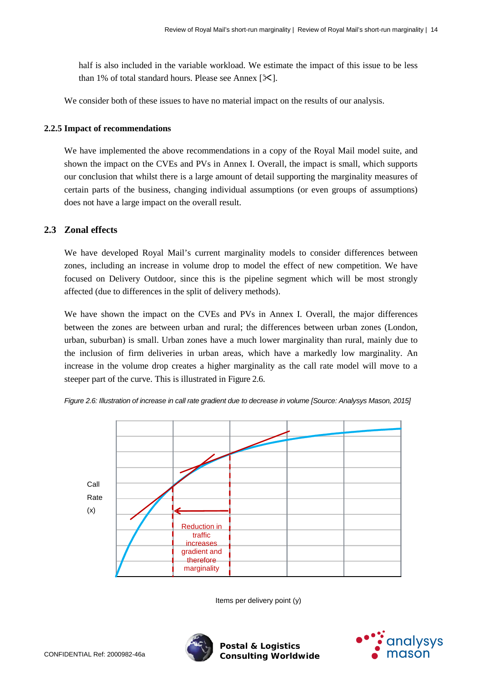half is also included in the variable workload. We estimate the impact of this issue to be less than 1% of total standard hours. Please see Annex  $[\mathcal{K}]$ .

We consider both of these issues to have no material impact on the results of our analysis.

#### **2.2.5 Impact of recommendations**

We have implemented the above recommendations in a copy of the Royal Mail model suite, and shown the impact on the CVEs and PVs in [Annex I.](#page-28-0) Overall, the impact is small, which supports our conclusion that whilst there is a large amount of detail supporting the marginality measures of certain parts of the business, changing individual assumptions (or even groups of assumptions) does not have a large impact on the overall result.

#### **2.3 Zonal effects**

We have developed Royal Mail's current marginality models to consider differences between zones, including an increase in volume drop to model the effect of new competition. We have focused on Delivery Outdoor, since this is the pipeline segment which will be most strongly affected (due to differences in the split of delivery methods).

We have shown the impact on the CVEs and PVs in [Annex I.](#page-28-0) Overall, the major differences between the zones are between urban and rural; the differences between urban zones (London, urban, suburban) is small. Urban zones have a much lower marginality than rural, mainly due to the inclusion of firm deliveries in urban areas, which have a markedly low marginality. An increase in the volume drop creates a higher marginality as the call rate model will move to a steeper part of the curve. This is illustrated i[n Figure 2.6.](#page-17-0)



<span id="page-17-0"></span>*Figure 2.6: Illustration of increase in call rate gradient due to decrease in volume [Source: Analysys Mason, 2015]*

Items per delivery point (y)



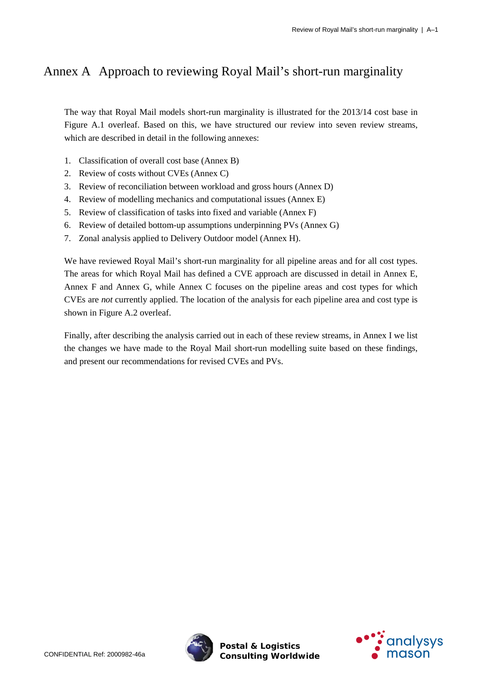### <span id="page-18-0"></span>Annex A Approach to reviewing Royal Mail's short-run marginality

The way that Royal Mail models short-run marginality is illustrated for the 2013/14 cost base in [Figure A.1](#page-19-0) overleaf. Based on this, we have structured our review into seven review streams, which are described in detail in the following annexes:

- 1. Classification of overall cost base [\(Annex B\)](#page-21-0)
- 2. Review of costs without CVEs [\(Annex C\)](#page-22-0)
- 3. Review of reconciliation between workload and gross hours [\(Annex D\)](#page-23-0)
- 4. Review of modelling mechanics and computational issues [\(Annex E\)](#page-24-0)
- 5. Review of classification of tasks into fixed and variable [\(Annex F\)](#page-25-0)
- 6. Review of detailed bottom-up assumptions underpinning PVs [\(Annex G\)](#page-26-0)
- 7. Zonal analysis applied to Delivery Outdoor model [\(Annex H\)](#page-27-0).

We have reviewed Royal Mail's short-run marginality for all pipeline areas and for all cost types. The areas for which Royal Mail has defined a CVE approach are discussed in detail in [Annex E,](#page-24-0) [Annex F](#page-25-0) and [Annex G,](#page-26-0) while [Annex C](#page-22-0) focuses on the pipeline areas and cost types for which CVEs are *not* currently applied. The location of the analysis for each pipeline area and cost type is shown in [Figure A.2](#page-19-1) overleaf.

Finally, after describing the analysis carried out in each of these review streams, in [Annex I](#page-28-0) we list the changes we have made to the Royal Mail short-run modelling suite based on these findings, and present our recommendations for revised CVEs and PVs.



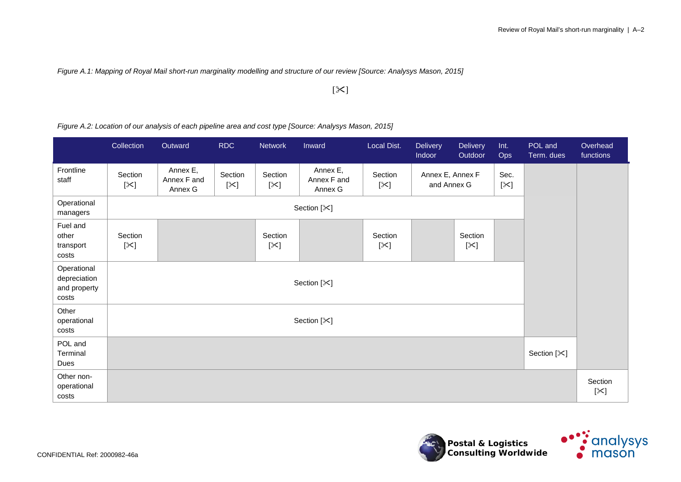*Figure A.1: Mapping of Royal Mail short-run marginality modelling and structure of our review [Source: Analysys Mason, 2015]* 

#### $[\mathbb{X}]$

#### *Figure A.2: Location of our analysis of each pipeline area and cost type [Source: Analysys Mason, 2015]*

<span id="page-19-1"></span><span id="page-19-0"></span>

|                                                      | Collection            | Outward                            | RDC                     | Network                 | Inward                             | Local Dist.              | <b>Delivery</b><br>Indoor | Delivery<br>Outdoor                            | Int.<br>Ops | POL and<br>Term. dues | Overhead<br>functions |
|------------------------------------------------------|-----------------------|------------------------------------|-------------------------|-------------------------|------------------------------------|--------------------------|---------------------------|------------------------------------------------|-------------|-----------------------|-----------------------|
| Frontline<br>staff                                   | Section<br>$[\times]$ | Annex E,<br>Annex F and<br>Annex G | Section<br>[ $\times$ ] | Section<br>[ $\times$ ] | Annex E,<br>Annex F and<br>Annex G | Section<br>[╳]           |                           | Sec.<br>Annex E, Annex F<br>and Annex G<br>[╳] |             |                       |                       |
| Operational<br>managers                              |                       | Section [ $\bowtie$ ]              |                         |                         |                                    |                          |                           |                                                |             |                       |                       |
| Fuel and<br>other<br>transport<br>costs              | Section<br>[≻]        |                                    |                         | Section<br>$[\times]$   |                                    | Section<br>[ $\bowtie$ ] |                           | Section<br>[X]                                 |             |                       |                       |
| Operational<br>depreciation<br>and property<br>costs | Section [ $\bowtie$ ] |                                    |                         |                         |                                    |                          |                           |                                                |             |                       |                       |
| Other<br>operational<br>costs                        | Section [ $\bowtie$ ] |                                    |                         |                         |                                    |                          |                           |                                                |             |                       |                       |
| POL and<br>Terminal<br>Dues                          |                       |                                    |                         |                         |                                    |                          |                           |                                                |             | Section [ $\bowtie$ ] |                       |
| Other non-<br>operational<br>costs                   |                       |                                    |                         |                         |                                    |                          |                           |                                                |             |                       | Section<br>$[\times]$ |



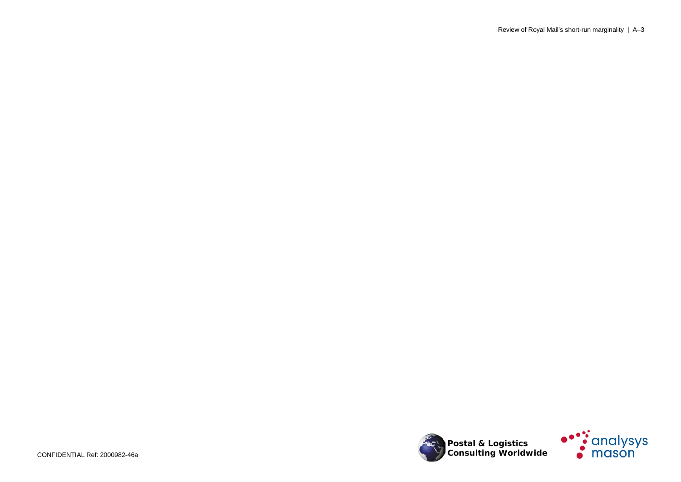

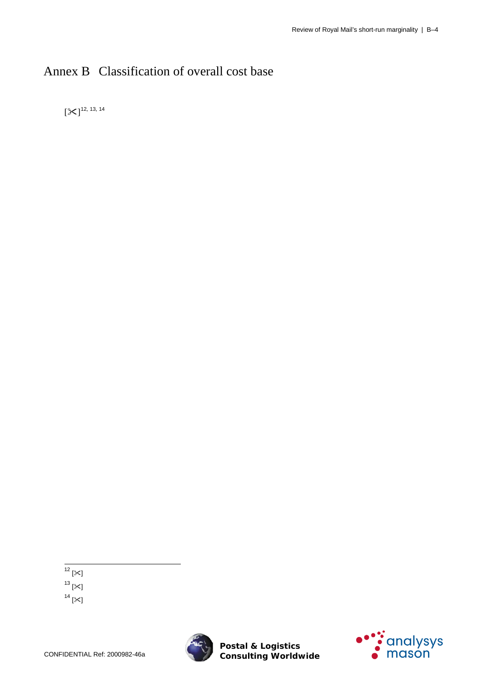### <span id="page-21-0"></span>Annex B Classification of overall cost base

 $[\mathcal{K}]^{$ [12](#page-21-1), [13](#page-21-2), [14](#page-21-3)

<span id="page-21-2"></span> $13$  [ $\times$ ]





<span id="page-21-1"></span> $\frac{12}{[35]}$ 

<span id="page-21-3"></span> $14$  [ $\times$ ]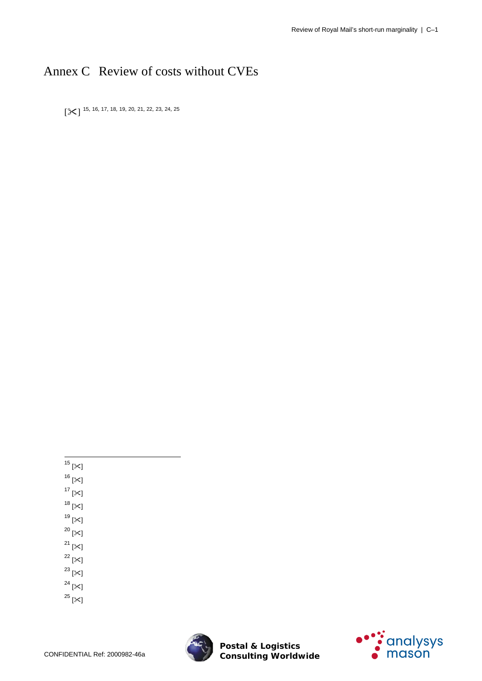### <span id="page-22-0"></span>Annex C Review of costs without CVEs

 $[\mathcal{X}]$  <sup>[15](#page-22-1), [16](#page-22-2), [17](#page-22-3), [18](#page-22-4), [19](#page-22-5), [20](#page-22-6), [21](#page-22-7), [22](#page-22-8), [23](#page-22-9), [24](#page-22-10), [25](#page-22-11)</sup>

<span id="page-22-1"></span> $15$  [ $\times$ ]

<span id="page-22-2"></span> $16$  [ $\times$ ]

<span id="page-22-3"></span> $17$  [ $\times$ ]

<span id="page-22-4"></span> $18$  [ $\times$ ]

- <span id="page-22-5"></span> $19$  [ $\times$ ]
- <span id="page-22-6"></span> $^{20}$  [ $\&$ ]

<span id="page-22-7"></span> $^{21}$  [ $\times$ ]

- <span id="page-22-8"></span> $^{22}$  [ $\times$ ]
- <span id="page-22-9"></span> $^{23}$  [ $\times$ ]
- <span id="page-22-10"></span><sup>24</sup> [ $\times$ ]
- <span id="page-22-11"></span> $^{25}$  [ $\times$ ]



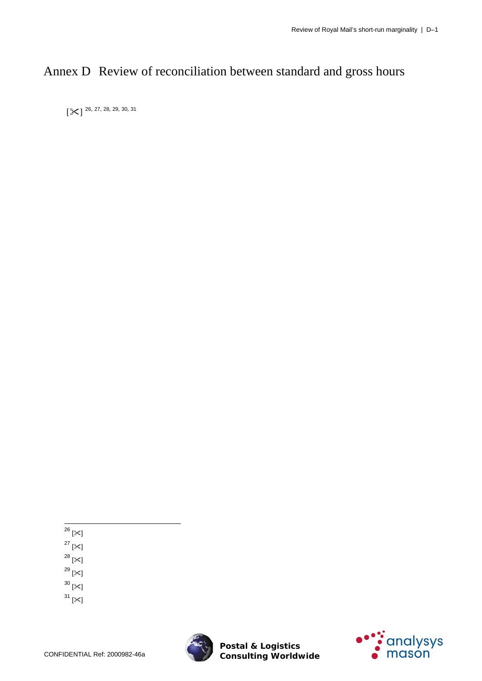### <span id="page-23-0"></span>Annex D Review of reconciliation between standard and gross hours

 $[\mathcal{K}]$  <sup>[26](#page-23-1), [27](#page-23-2), [28](#page-23-3), [29](#page-23-4), [30](#page-23-5), [31](#page-23-6)</sup>

<span id="page-23-1"></span> $\overline{\frac{26}{8}}$ [ $\times$ ]

<span id="page-23-2"></span><sup>27</sup> [ $\times$ ]

<span id="page-23-3"></span> $^{28}$  [ $\times$ ]

 $^{29}$  [ $\times$ ]

<span id="page-23-5"></span><span id="page-23-4"></span> $^{30}$  [ $\times$ ]

<span id="page-23-6"></span> $31$  [ $\!\times$ ]



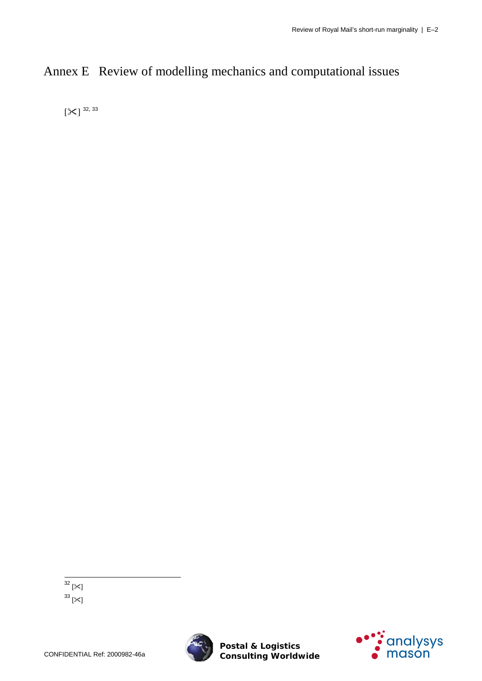# <span id="page-24-1"></span><span id="page-24-0"></span>Annex E Review of modelling mechanics and computational issues

 $[\mathcal{K}]^{32, 33}$  $[\mathcal{K}]^{32, 33}$  $[\mathcal{K}]^{32, 33}$  $[\mathcal{K}]^{32, 33}$  $[\mathcal{K}]^{32, 33}$ 

<span id="page-24-3"></span><span id="page-24-2"></span> $32$  [ $\times$ ]  $^{33}$  [ $\times$ ]

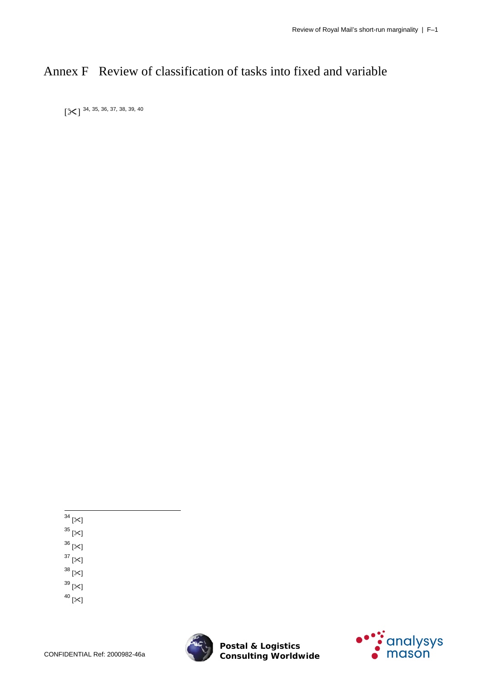## <span id="page-25-1"></span><span id="page-25-0"></span>Annex F Review of classification of tasks into fixed and variable

 $[\mathcal{K}]$  [34](#page-25-2), [35](#page-25-3), [36](#page-25-4), [37](#page-25-5), [38](#page-25-6), [39](#page-25-7), [40](#page-25-8)

- <span id="page-25-2"></span> $34 \times 1$
- <span id="page-25-3"></span> $35$  [ $\times$ ]
- <span id="page-25-4"></span> $36$  [ $\times$ ]
- <span id="page-25-5"></span> $37$  [ $\times$ ]
- <span id="page-25-6"></span> $38$  [ $\times$ ]
- <span id="page-25-7"></span> $39$  [ $\times$ ]
- <span id="page-25-8"></span> $^{40}$  [ $\approx$ ]



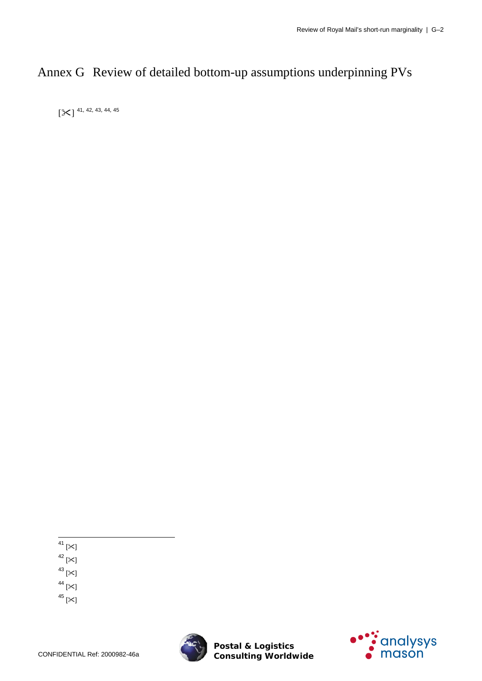# <span id="page-26-1"></span><span id="page-26-0"></span>Annex G Review of detailed bottom-up assumptions underpinning PVs

 $[\mathcal{K}]$  <sup>[41](#page-26-2), [42](#page-26-3), [43](#page-26-4), [44](#page-26-5), [45](#page-26-6)</sup>

<span id="page-26-3"></span> $42$  [ $\times$ ]

<span id="page-26-4"></span> $43$  [ $\times$ ]

<span id="page-26-5"></span> $^{44}$  [ $\times$ ]

<span id="page-26-6"></span> $^{45}$  [ $\times$ ]





<span id="page-26-2"></span> $41$  [ $\times$ ]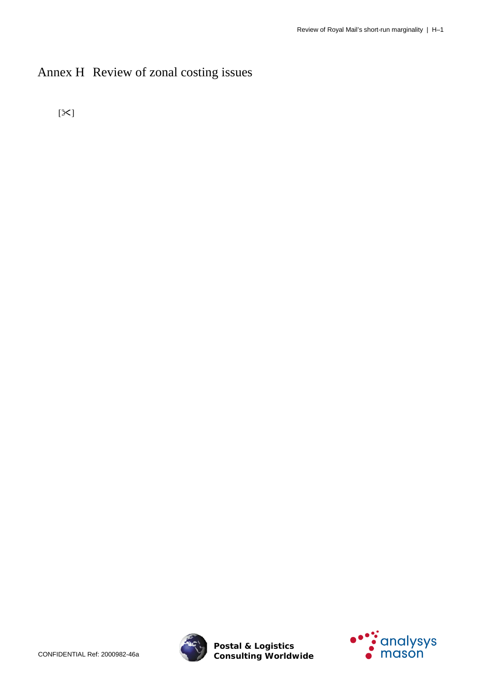### <span id="page-27-0"></span>Annex H Review of zonal costing issues

 $[\mathbb{X}]$ 



**Postal & Logistics Consulting Worldwide**